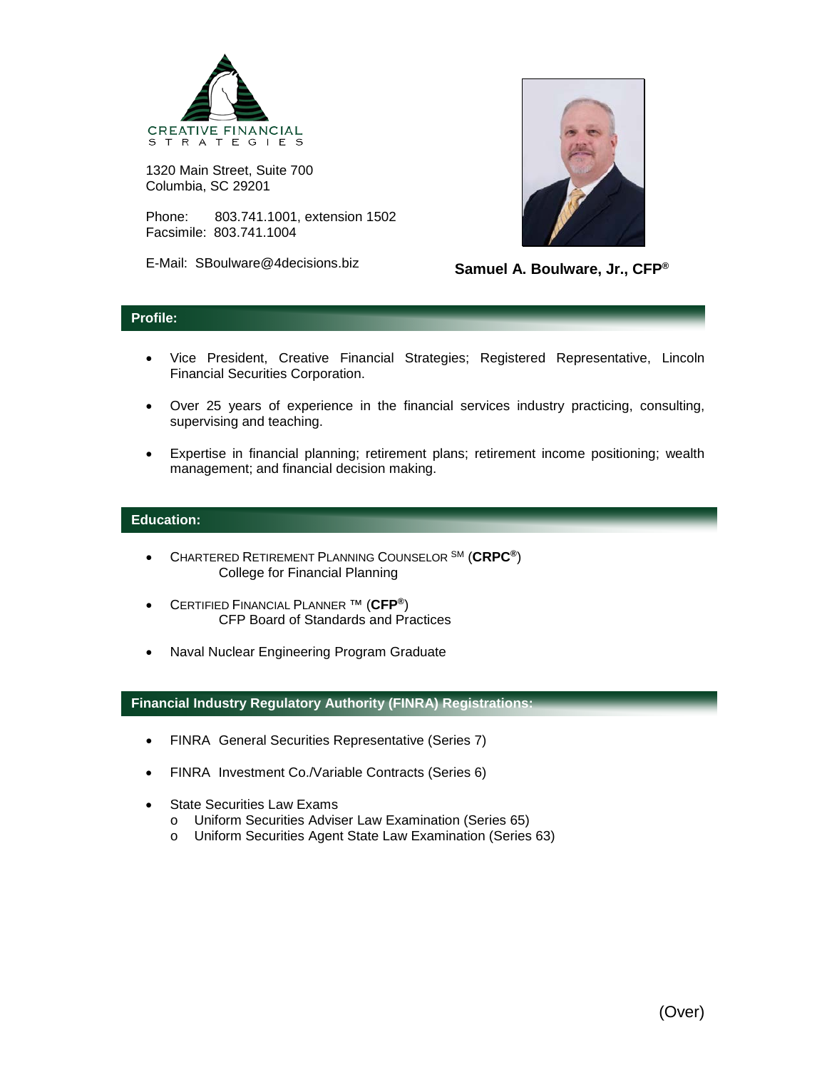

1320 Main Street, Suite 700 Columbia, SC 29201

Phone: 803.741.1001, extension 1502 Facsimile: 803.741.1004

E-Mail: SBoulware@4decisions.biz



**Samuel A. Boulware, Jr., CFP®**

## **Profile:**

- Vice President, Creative Financial Strategies; Registered Representative, Lincoln Financial Securities Corporation.
- Over 25 years of experience in the financial services industry practicing, consulting, supervising and teaching.
- Expertise in financial planning; retirement plans; retirement income positioning; wealth management; and financial decision making.

## **Education:**

- CHARTERED RETIREMENT PLANNING COUNSELOR SM (**CRPC®**) College for Financial Planning
- CERTIFIED FINANCIAL PLANNER ™ (**CFP®**) CFP Board of Standards and Practices
- Naval Nuclear Engineering Program Graduate

## **Financial Industry Regulatory Authority (FINRA) Registrations:**

- FINRA General Securities Representative (Series 7)
- FINRA Investment Co./Variable Contracts (Series 6)
- **State Securities Law Exams** 
	- o Uniform Securities Adviser Law Examination (Series 65)
	- Uniform Securities Agent State Law Examination (Series 63)